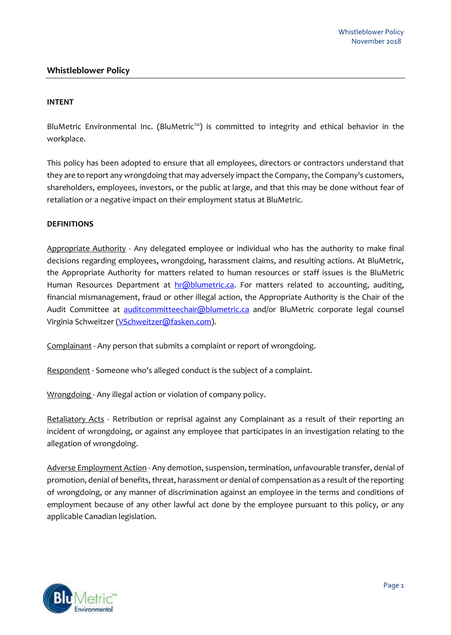# **Whistleblower Policy**

### **INTENT**

BluMetric Environmental Inc. (BluMetric™) is committed to integrity and ethical behavior in the workplace.

This policy has been adopted to ensure that all employees, directors or contractors understand that they are to report any wrongdoing that may adversely impact the Company, the Company's customers, shareholders, employees, investors, or the public at large, and that this may be done without fear of retaliation or a negative impact on their employment status at BluMetric.

### **DEFINITIONS**

Appropriate Authority - Any delegated employee or individual who has the authority to make final decisions regarding employees, wrongdoing, harassment claims, and resulting actions. At BluMetric, the Appropriate Authority for matters related to human resources or staff issues is the BluMetric Human Resources Department at [hr@blumetric.ca.](mailto:hr@blumetric.ca) For matters related to accounting, auditing, financial mismanagement, fraud or other illegal action, the Appropriate Authority is the Chair of the Audit Committee at [auditcommitteechair@blumetric.ca](mailto:auditcommitteechair@blumetric.ca) and/or BluMetric corporate legal counsel Virginia Schweitzer [\(VSchweitzer@fasken.com\)](mailto:VSchweitzer@fasken.com).

Complainant - Any person that submits a complaint or report of wrongdoing.

Respondent - Someone who's alleged conduct is the subject of a complaint.

Wrongdoing - Any illegal action or violation of company policy.

Retaliatory Acts - Retribution or reprisal against any Complainant as a result of their reporting an incident of wrongdoing, or against any employee that participates in an investigation relating to the allegation of wrongdoing.

Adverse Employment Action - Any demotion, suspension, termination, unfavourable transfer, denial of promotion, denial of benefits, threat, harassment or denial of compensation as a result of the reporting of wrongdoing, or any manner of discrimination against an employee in the terms and conditions of employment because of any other lawful act done by the employee pursuant to this policy, or any applicable Canadian legislation.

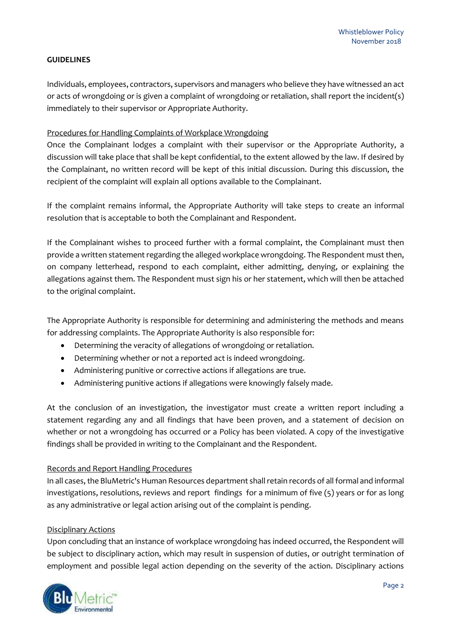# **GUIDELINES**

Individuals, employees, contractors, supervisors and managers who believe they have witnessed an act or acts of wrongdoing or is given a complaint of wrongdoing or retaliation, shall report the incident(s) immediately to their supervisor or Appropriate Authority.

## Procedures for Handling Complaints of Workplace Wrongdoing

Once the Complainant lodges a complaint with their supervisor or the Appropriate Authority, a discussion will take place that shall be kept confidential, to the extent allowed by the law. If desired by the Complainant, no written record will be kept of this initial discussion. During this discussion, the recipient of the complaint will explain all options available to the Complainant.

If the complaint remains informal, the Appropriate Authority will take steps to create an informal resolution that is acceptable to both the Complainant and Respondent.

If the Complainant wishes to proceed further with a formal complaint, the Complainant must then provide a written statement regarding the alleged workplace wrongdoing. The Respondent must then, on company letterhead, respond to each complaint, either admitting, denying, or explaining the allegations against them. The Respondent must sign his or her statement, which will then be attached to the original complaint.

The Appropriate Authority is responsible for determining and administering the methods and means for addressing complaints. The Appropriate Authority is also responsible for:

- Determining the veracity of allegations of wrongdoing or retaliation.
- Determining whether or not a reported act is indeed wrongdoing.
- Administering punitive or corrective actions if allegations are true.
- Administering punitive actions if allegations were knowingly falsely made.

At the conclusion of an investigation, the investigator must create a written report including a statement regarding any and all findings that have been proven, and a statement of decision on whether or not a wrongdoing has occurred or a Policy has been violated. A copy of the investigative findings shall be provided in writing to the Complainant and the Respondent.

# Records and Report Handling Procedures

In all cases, the BluMetric's Human Resources department shall retain records of all formal and informal investigations, resolutions, reviews and report findings for a minimum of five (5) years or for as long as any administrative or legal action arising out of the complaint is pending.

### Disciplinary Actions

Upon concluding that an instance of workplace wrongdoing has indeed occurred, the Respondent will be subject to disciplinary action, which may result in suspension of duties, or outright termination of employment and possible legal action depending on the severity of the action. Disciplinary actions